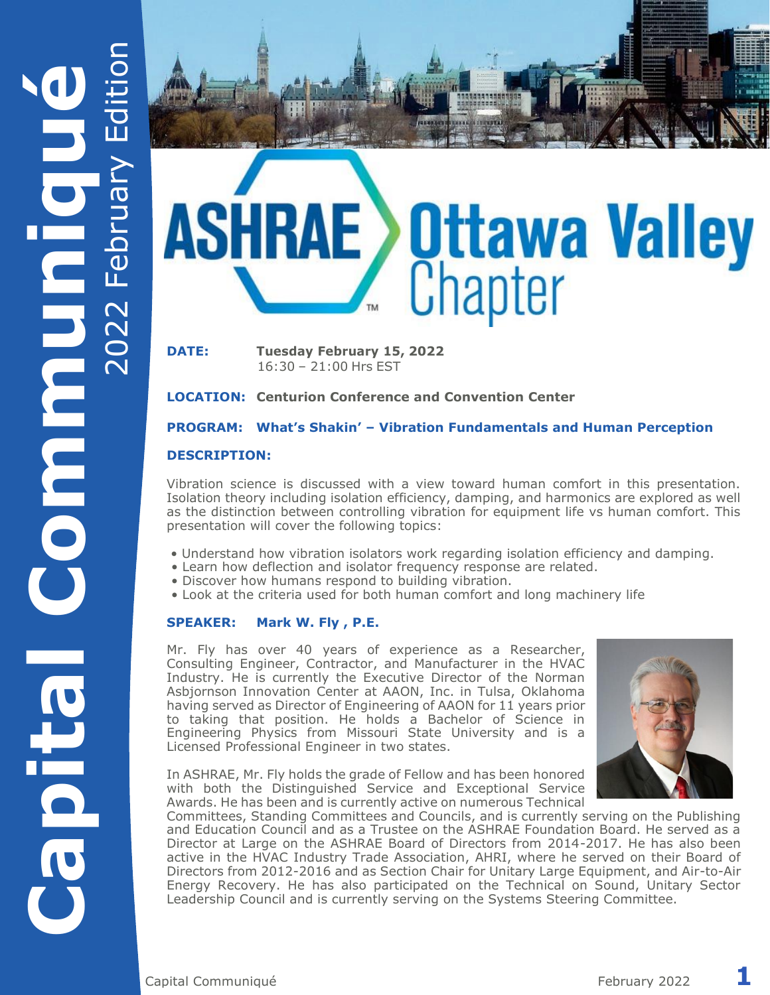

1941411189

**DATE: Tuesday February 15, 2022** 16:30 – 21:00 Hrs EST

**LOCATION: Centurion Conference and Convention Center**

### **PROGRAM: What's Shakin' – Vibration Fundamentals and Human Perception**

### **DESCRIPTION:**

Vibration science is discussed with a view toward human comfort in this presentation. Isolation theory including isolation efficiency, damping, and harmonics are explored as well as the distinction between controlling vibration for equipment life vs human comfort. This presentation will cover the following topics:

- Understand how vibration isolators work regarding isolation efficiency and damping.
- Learn how deflection and isolator frequency response are related.
- Discover how humans respond to building vibration.
- Look at the criteria used for both human comfort and long machinery life

#### **SPEAKER: Mark W. Fly , P.E.**

Mr. Fly has over 40 years of experience as a Researcher, Consulting Engineer, Contractor, and Manufacturer in the HVAC Industry. He is currently the Executive Director of the Norman Asbjornson Innovation Center at AAON, Inc. in Tulsa, Oklahoma having served as Director of Engineering of AAON for 11 years prior to taking that position. He holds a Bachelor of Science in Engineering Physics from Missouri State University and is a Licensed Professional Engineer in two states.



In ASHRAE, Mr. Fly holds the grade of Fellow and has been honored with both the Distinguished Service and Exceptional Service Awards. He has been and is currently active on numerous Technical

Committees, Standing Committees and Councils, and is currently serving on the Publishing and Education Council and as a Trustee on the ASHRAE Foundation Board. He served as a Director at Large on the ASHRAE Board of Directors from 2014-2017. He has also been active in the HVAC Industry Trade Association, AHRI, where he served on their Board of Directors from 2012-2016 and as Section Chair for Unitary Large Equipment, and Air-to-Air Energy Recovery. He has also participated on the Technical on Sound, Unitary Sector Leadership Council and is currently serving on the Systems Steering Committee.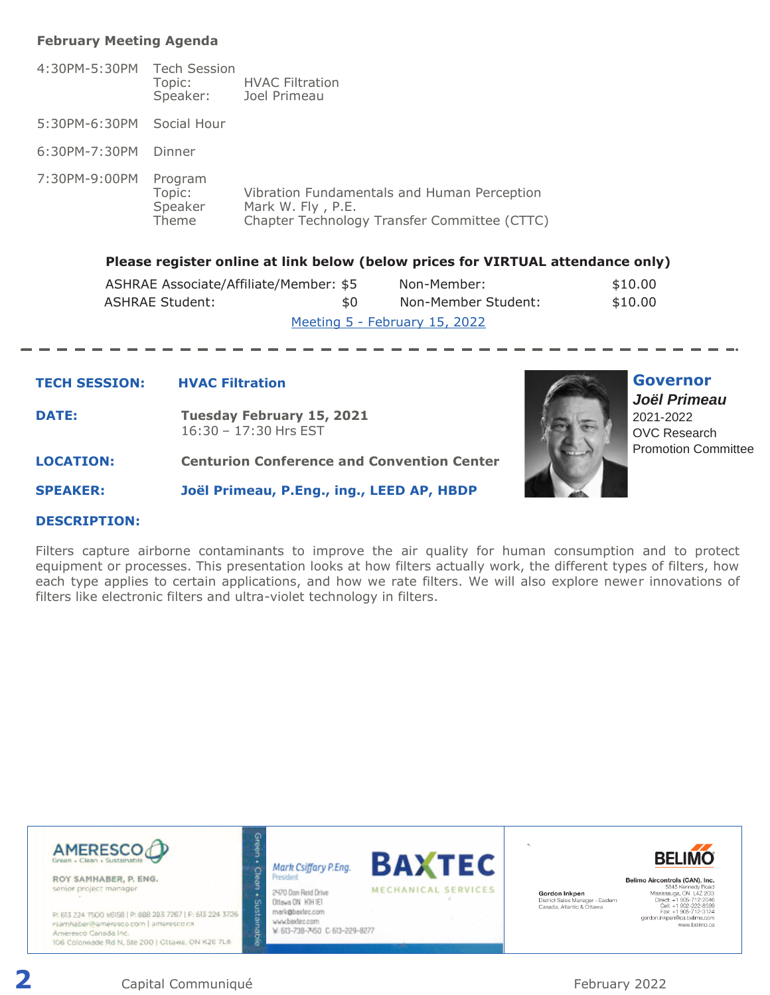#### **February Meeting Agenda**

| 4:30PM-5:30PM Tech Session | Topic:<br>Speaker:                    | <b>HVAC Filtration</b><br>Joel Primeau                                                                           |
|----------------------------|---------------------------------------|------------------------------------------------------------------------------------------------------------------|
| 5:30PM-6:30PM              | Social Hour                           |                                                                                                                  |
| 6:30PM-7:30PM              | Dinner                                |                                                                                                                  |
| 7:30PM-9:00PM              | Program<br>Topic:<br>Speaker<br>Theme | Vibration Fundamentals and Human Perception<br>Mark W. Fly, P.E.<br>Chapter Technology Transfer Committee (CTTC) |

#### **Please register online at link below (below prices for VIRTUAL attendance only)**

| ASHRAE Associate/Affiliate/Member: \$5 |     | Non-Member:                   | \$10.00 |
|----------------------------------------|-----|-------------------------------|---------|
| <b>ASHRAE Student:</b>                 | \$0 | Non-Member Student:           | \$10.00 |
|                                        |     | Meeting 5 - February 15, 2022 |         |

#### **TECH SESSION: HVAC Filtration**

- **DATE: Tuesday February 15, 2021**  16:30 – 17:30 Hrs EST
- **LOCATION: Centurion Conference and Convention Center**

**SPEAKER: Joël Primeau, P.Eng., ing., LEED AP, HBDP**



### **Governor** *Joël Primeau*  2021-2022 OVC Research Promotion Committee

#### **DESCRIPTION:**

Filters capture airborne contaminants to improve the air quality for human consumption and to protect equipment or processes. This presentation looks at how filters actually work, the different types of filters, how each type applies to certain applications, and how we rate filters. We will also explore newer innovations of filters like electronic filters and ultra-violet technology in filters.



**2** Capital Communiqué **February 2022**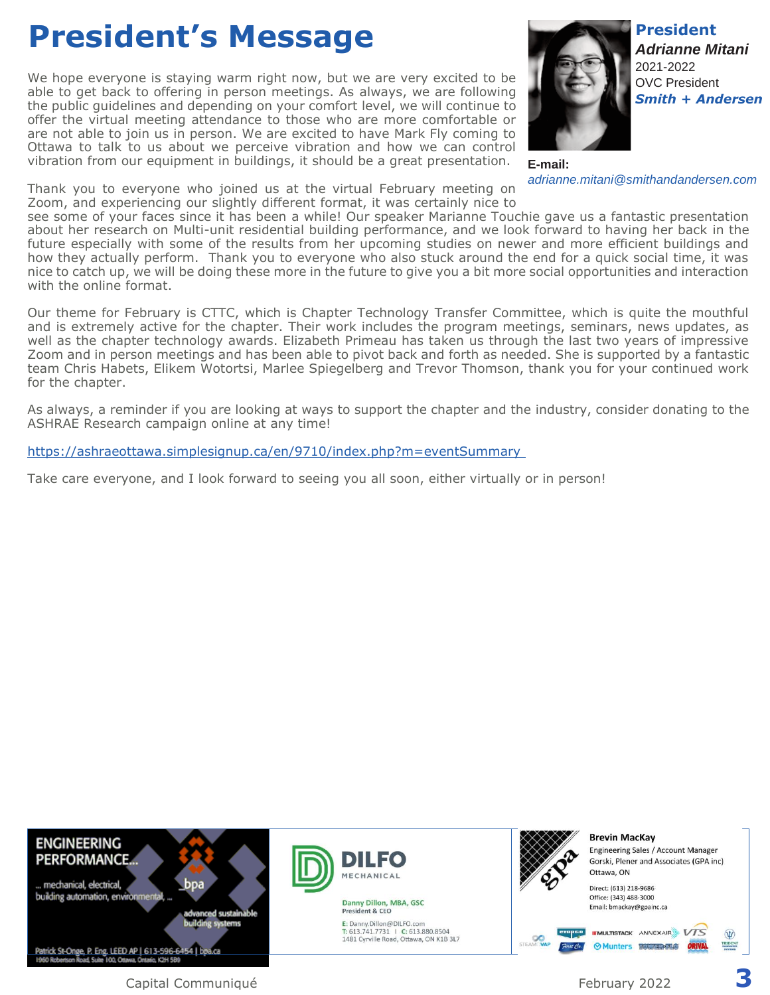### **President's Message**

We hope everyone is staying warm right now, but we are very excited to be able to get back to offering in person meetings. As always, we are following the public guidelines and depending on your comfort level, we will continue to offer the virtual meeting attendance to those who are more comfortable or are not able to join us in person. We are excited to have Mark Fly coming to Ottawa to talk to us about we perceive vibration and how we can control vibration from our equipment in buildings, it should be a great presentation.

Thank you to everyone who joined us at the virtual February meeting on Zoom, and experiencing our slightly different format, it was certainly nice to



**E-mail:** *adrianne.mitani@smithandandersen.com*

see some of your faces since it has been a while! Our speaker Marianne Touchie gave us a fantastic presentation about her research on Multi-unit residential building performance, and we look forward to having her back in the future especially with some of the results from her upcoming studies on newer and more efficient buildings and how they actually perform. Thank you to everyone who also stuck around the end for a quick social time, it was nice to catch up, we will be doing these more in the future to give you a bit more social opportunities and interaction with the online format.

Our theme for February is CTTC, which is Chapter Technology Transfer Committee, which is quite the mouthful and is extremely active for the chapter. Their work includes the program meetings, seminars, news updates, as well as the chapter technology awards. Elizabeth Primeau has taken us through the last two years of impressive Zoom and in person meetings and has been able to pivot back and forth as needed. She is supported by a fantastic team Chris Habets, Elikem Wotortsi, Marlee Spiegelberg and Trevor Thomson, thank you for your continued work for the chapter.

As always, a reminder if you are looking at ways to support the chapter and the industry, consider donating to the ASHRAE Research campaign online at any time!

#### <https://ashraeottawa.simplesignup.ca/en/9710/index.php?m=eventSummary>

Take care everyone, and I look forward to seeing you all soon, either virtually or in person!

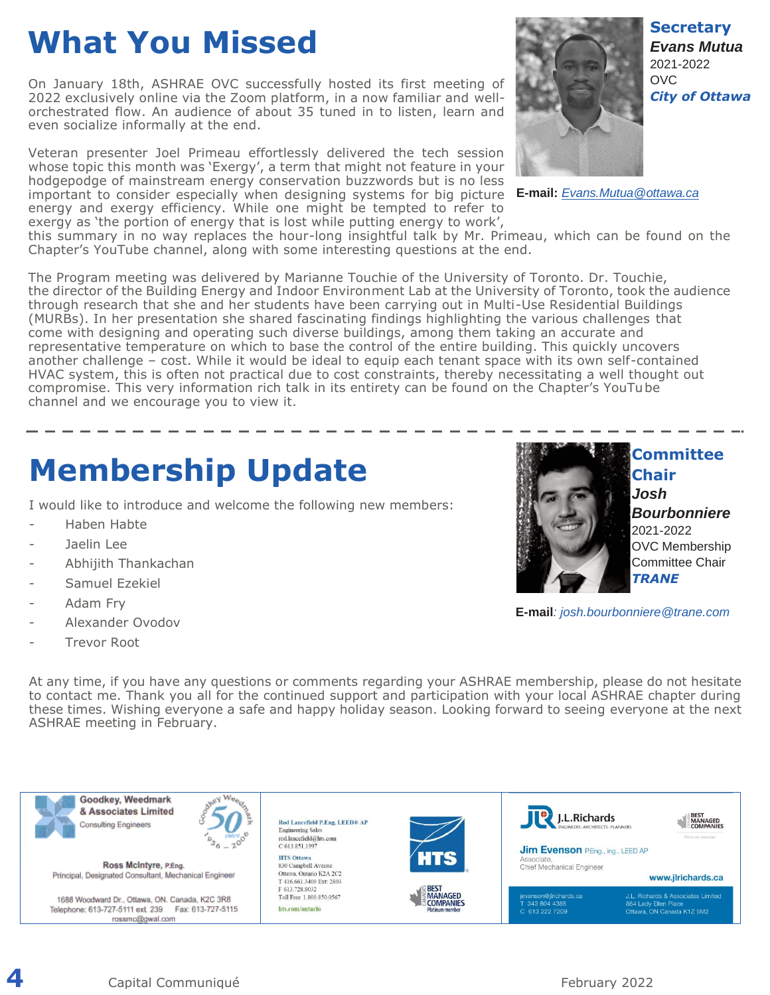# **What You Missed**

On January 18th, ASHRAE OVC successfully hosted its first meeting of 2022 exclusively online via the Zoom platform, in a now familiar and wellorchestrated flow. An audience of about 35 tuned in to listen, learn and even socialize informally at the end.

Veteran presenter Joel Primeau effortlessly delivered the tech session whose topic this month was 'Exergy', a term that might not feature in your hodgepodge of mainstream energy conservation buzzwords but is no less important to consider especially when designing systems for big picture **E-mail:** *[Evans.Mutua@ottawa.ca](mailto:Evans.Mutua@ottawa.ca)* energy and exergy efficiency. While one might be tempted to refer to exergy as 'the portion of energy that is lost while putting energy to work',



this summary in no way replaces the hour-long insightful talk by Mr. Primeau, which can be found on the Chapter's YouTube channel, along with some interesting questions at the end.

The Program meeting was delivered by Marianne Touchie of the University of Toronto. Dr. Touchie, the director of the Building Energy and Indoor Environment Lab at the University of Toronto, took the audience through research that she and her students have been carrying out in Multi-Use Residential Buildings (MURBs). In her presentation she shared fascinating findings highlighting the various challenges that come with designing and operating such diverse buildings, among them taking an accurate and representative temperature on which to base the control of the entire building. This quickly uncovers another challenge – cost. While it would be ideal to equip each tenant space with its own self-contained HVAC system, this is often not practical due to cost constraints, thereby necessitating a well thought out compromise. This very information rich talk in its entirety can be found on the Chapter's YouTube channel and we encourage you to view it.

## **Membership Update**

I would like to introduce and welcome the following new members:

- Haben Habte
- Jaelin Lee
- Abhijith Thankachan
- Samuel Ezekiel
- Adam Frv
- Alexander Ovodov
- Trevor Root



**Committee Chair** *Josh Bourbonniere* 2021-2022 OVC Membership Committee Chair *TRANE*

**Secretary** *Evans Mutua* 2021-2022 OVC

*City of Ottawa*

**E-mail***: josh.bourbonniere@trane.com*

At any time, if you have any questions or comments regarding your ASHRAE membership, please do not hesitate to contact me. Thank you all for the continued support and participation with your local ASHRAE chapter during these times. Wishing everyone a safe and happy holiday season. Looking forward to seeing everyone at the next ASHRAE meeting in February.



**4** Capital Communiqué **February 2022**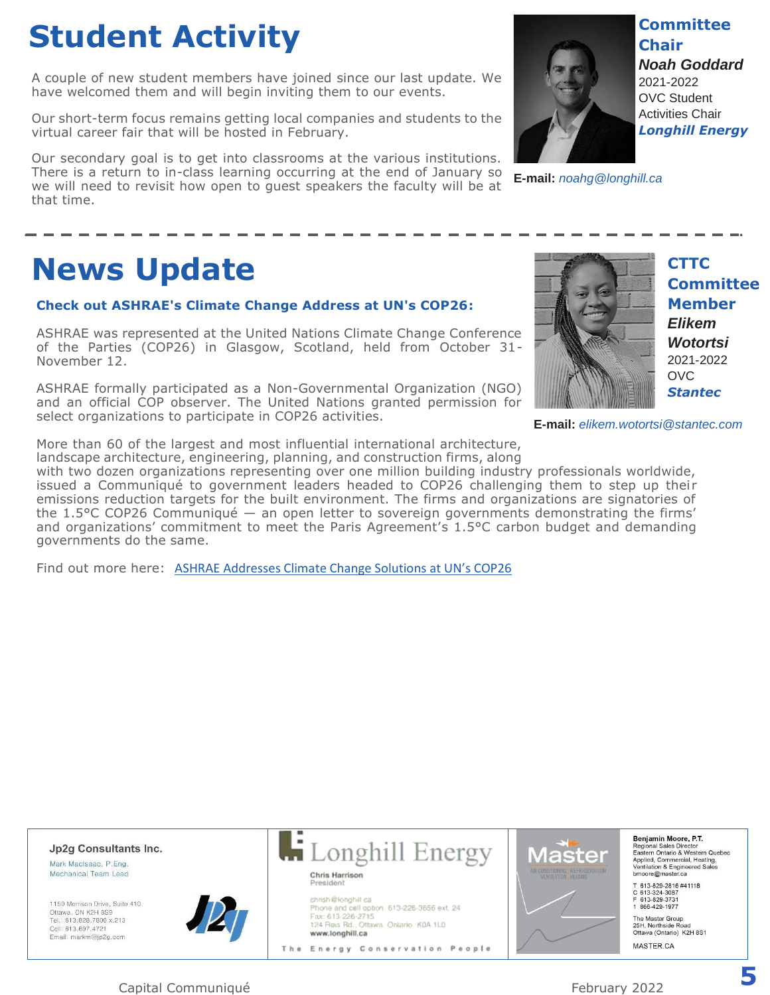# **Student Activity**

A couple of new student members have joined since our last update. We have welcomed them and will begin inviting them to our events.

Our short-term focus remains getting local companies and students to the virtual career fair that will be hosted in February.

Our secondary goal is to get into classrooms at the various institutions. There is a return to in-class learning occurring at the end of January so we will need to revisit how open to guest speakers the faculty will be at that time.



**Committee Chair** *Noah Goddard* 2021-2022 OVC Student Activities Chair *Longhill Energy*

**E-mail:** *noahg@longhill.ca*

### **News Update**

#### **Check out ASHRAE's Climate Change Address at UN's COP26:**

ASHRAE was represented at the United Nations Climate Change Conference of the Parties (COP26) in Glasgow, Scotland, held from October 31- November 12.

ASHRAE formally participated as a Non-Governmental Organization (NGO) and an official COP observer. The United Nations granted permission for select organizations to participate in COP26 activities.



**CTTC Committee Member** *Elikem Wotortsi* 2021-2022 OVC *Stantec*

**E-mail:** *elikem.wotortsi@stantec.com*

More than 60 of the largest and most influential international architecture, landscape architecture, engineering, planning, and construction firms, along

with two dozen organizations representing over one million building industry professionals worldwide, issued a Communiqué to government leaders headed to COP26 challenging them to step up their emissions reduction targets for the built environment. The firms and organizations are signatories of the 1.5°C COP26 Communiqué — an open letter to sovereign governments demonstrating the firms' and organizations' commitment to meet the Paris Agreement's 1.5°C carbon budget and demanding governments do the same.

Find out more here: [ASHRAE Addresses Climate Change Solutions at UN's COP26](https://www.ashrae.org/about/news/2021/ashrae-addresses-climate-change-solutions-at-un-s-cop26)

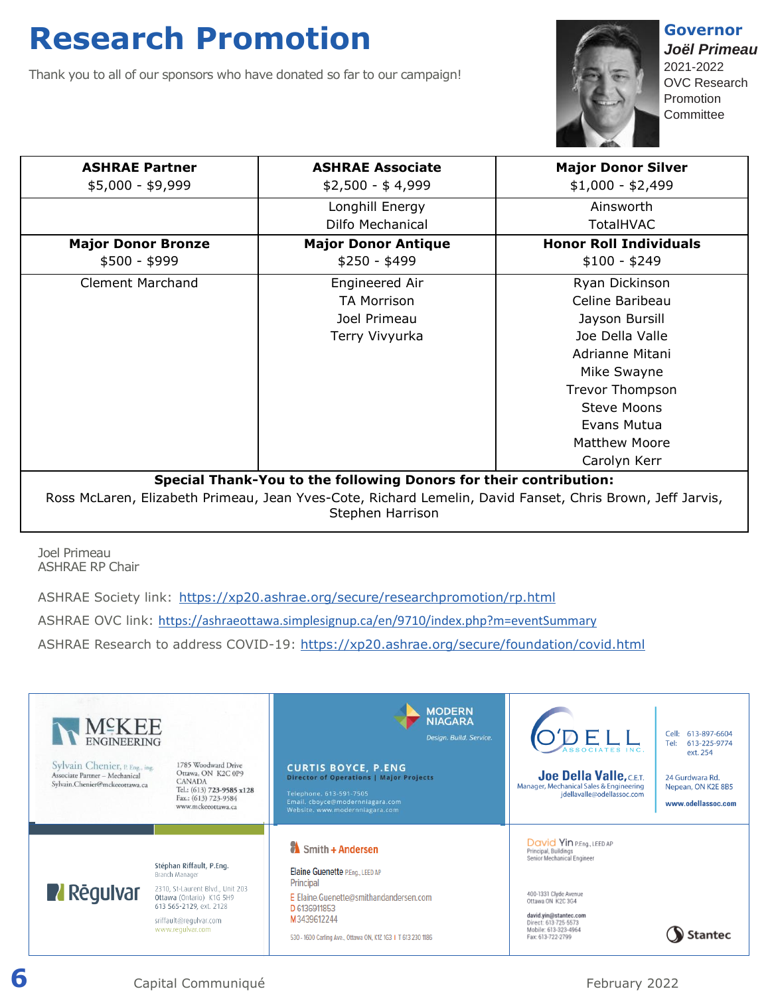### **Research Promotion**

Thank you to all of our sponsors who have donated so far to our campaign!



**Governor** *Joël Primeau*  2021-2022 OVC Research Promotion **Committee** 

| <b>ASHRAE Partner</b><br>$$5,000 - $9,999$ | <b>ASHRAE Associate</b><br>$$2,500 - $4,999$                                                                                  | <b>Major Donor Silver</b><br>$$1,000 - $2,499$ |
|--------------------------------------------|-------------------------------------------------------------------------------------------------------------------------------|------------------------------------------------|
|                                            | Longhill Energy<br>Dilfo Mechanical                                                                                           | Ainsworth<br><b>TotalHVAC</b>                  |
| <b>Major Donor Bronze</b>                  | <b>Major Donor Antique</b>                                                                                                    | <b>Honor Roll Individuals</b>                  |
| $$500 - $999$                              | $$250 - $499$                                                                                                                 | $$100 - $249$                                  |
| <b>Clement Marchand</b>                    | Engineered Air                                                                                                                | Ryan Dickinson                                 |
|                                            | <b>TA Morrison</b>                                                                                                            | Celine Baribeau                                |
|                                            | Joel Primeau                                                                                                                  | Jayson Bursill                                 |
|                                            | Terry Vivyurka                                                                                                                | Joe Della Valle                                |
|                                            |                                                                                                                               | Adrianne Mitani                                |
|                                            |                                                                                                                               | Mike Swayne                                    |
|                                            |                                                                                                                               | <b>Trevor Thompson</b>                         |
|                                            |                                                                                                                               | <b>Steve Moons</b>                             |
|                                            |                                                                                                                               | Evans Mutua                                    |
|                                            |                                                                                                                               | <b>Matthew Moore</b>                           |
|                                            |                                                                                                                               | Carolyn Kerr                                   |
|                                            | Special Thank-You to the following Donors for their contribution:                                                             |                                                |
|                                            | Ross McLaren, Elizabeth Primeau, Jean Yves-Cote, Richard Lemelin, David Fanset, Chris Brown, Jeff Jarvis,<br>Stephen Harrison |                                                |

Joel Primeau ASHRAE RP Chair

ASHRAE Society link: <https://xp20.ashrae.org/secure/researchpromotion/rp.html>

ASHRAE OVC link: <https://ashraeottawa.simplesignup.ca/en/9710/index.php?m=eventSummary>

ASHRAE Research to address COVID-19:<https://xp20.ashrae.org/secure/foundation/covid.html>



**6 6** Capital Communiqué **February 2022**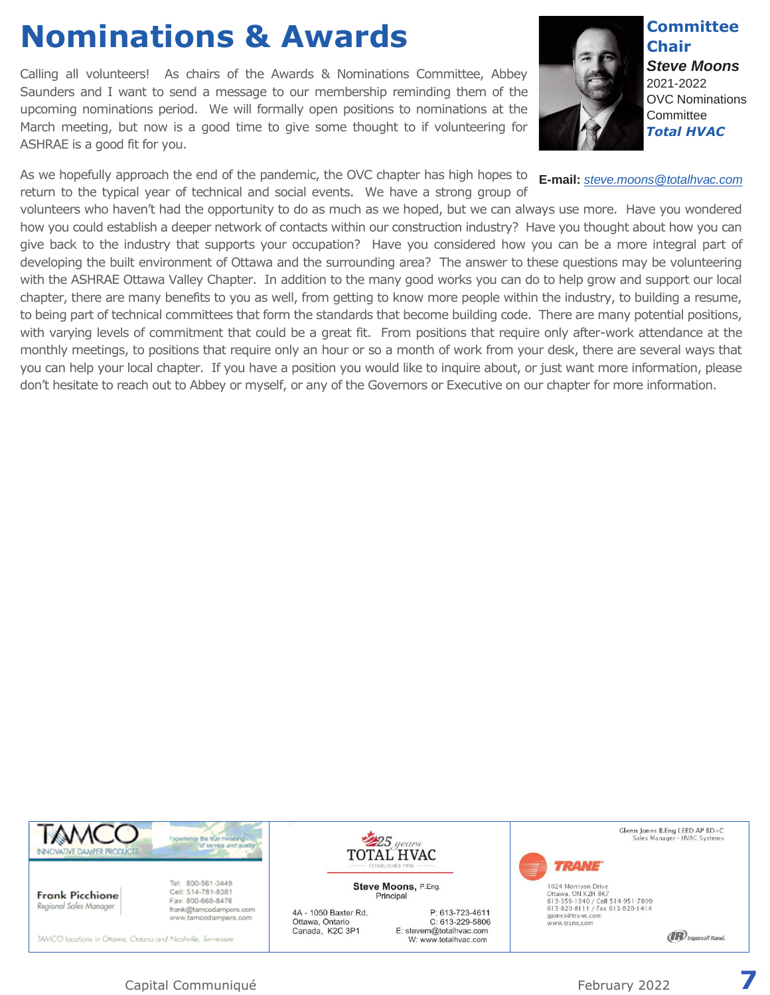## **Nominations & Awards**

Calling all volunteers! As chairs of the Awards & Nominations Committee, Abbey Saunders and I want to send a message to our membership reminding them of the upcoming nominations period. We will formally open positions to nominations at the March meeting, but now is a good time to give some thought to if volunteering for ASHRAE is a good fit for you.

As we hopefully approach the end of the pandemic, the OVC chapter has high hopes to return to the typical year of technical and social events. We have a strong group of



**Committee Chair** *Steve Moons* 2021-2022 OVC Nominations **Committee** 

*Total HVAC*

**E-mail:** *[steve.moons@totalhvac.com](mailto:steve.moons@totalhvac.com)*

volunteers who haven't had the opportunity to do as much as we hoped, but we can always use more. Have you wondered how you could establish a deeper network of contacts within our construction industry? Have you thought about how you can give back to the industry that supports your occupation? Have you considered how you can be a more integral part of developing the built environment of Ottawa and the surrounding area? The answer to these questions may be volunteering with the ASHRAE Ottawa Valley Chapter. In addition to the many good works you can do to help grow and support our local chapter, there are many benefits to you as well, from getting to know more people within the industry, to building a resume, to being part of technical committees that form the standards that become building code. There are many potential positions, with varying levels of commitment that could be a great fit. From positions that require only after-work attendance at the monthly meetings, to positions that require only an hour or so a month of work from your desk, there are several ways that you can help your local chapter. If you have a position you would like to inquire about, or just want more information, please don't hesitate to reach out to Abbey or myself, or any of the Governors or Executive on our chapter for more information.



**Frank Picchione** Regional Sales Manager

Tel: 800-561-3449 Cell: 514-781-8381 Fax: 800-668-8476 frank@tamcodampors.com www.tamcodampers.com

TAMCO locations in Ottawa, Ontario and Nashville, Termessee

4A - 1050 Baxter Rd. Ottawa, Ontario Canada, K2C 3P1

Steve Moons, P.Eng. Principal

 $\frac{1}{225}$  years

**TOTAL HVAC** 

P: 613-723-4611 C: 613-229-5806 E: stevem@totalhvac.com W: www.totalhvac.com

Glenn Jones B.Eng LEED AP BD+C Sales Manager - HVAC Systems

1024 Morrison Drive Ottawa, ON K2H 8K7<br>613-356-1940 / Cell 514-951-7809<br>613-820-8111 / Fax 613-820-1414 gjones@trane.com<br>www.trane.com

**TRANE** 

**(IR)** Ingersoll Rand.

Capital Communiqué February 2022 **7**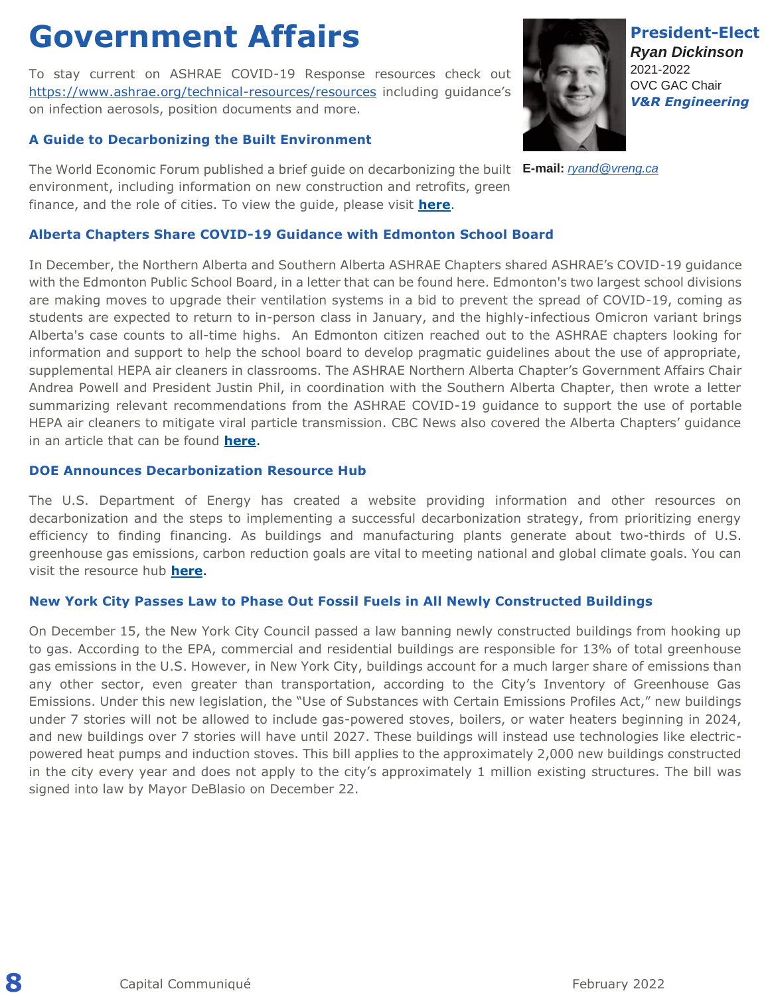### **Government Affairs**

To stay current on ASHRAE COVID-19 Response resources check out <https://www.ashrae.org/technical-resources/resources> including guidance's on infection aerosols, position documents and more.

### **A Guide to Decarbonizing the Built Environment**

The World Economic Forum published a brief guide on decarbonizing the built **E-mail:** *[ryand@vreng.ca](mailto:ryand@vreng.ca)*environment, including information on new construction and retrofits, green finance, and the role of cities. To view the guide, please visit **[here](http://www.mmsend21.com/link.cfm?r=gFv-noe244TujwwtKtNDpg~~&pe=PrgWg6J7IUQBLFpYE2lJHY2ejx0K1bKvMQWEl8oo8HxadMMb5NfBOH1JMJADqddfHIY3unFjO32530vwQixVBw~~&t=INSERT_TRACKING_ENCID)**.

#### **Alberta Chapters Share COVID-19 Guidance with Edmonton School Board**

In December, the Northern Alberta and Southern Alberta ASHRAE Chapters shared ASHRAE's COVID-19 guidance with the Edmonton Public School Board, in a letter that can be found here. Edmonton's two largest school divisions are making moves to upgrade their ventilation systems in a bid to prevent the spread of COVID-19, coming as students are expected to return to in-person class in January, and the highly-infectious Omicron variant brings Alberta's case counts to all-time highs. An Edmonton citizen reached out to the ASHRAE chapters looking for information and support to help the school board to develop pragmatic guidelines about the use of appropriate, supplemental HEPA air cleaners in classrooms. The ASHRAE Northern Alberta Chapter's Government Affairs Chair Andrea Powell and President Justin Phil, in coordination with the Southern Alberta Chapter, then wrote a letter summarizing relevant recommendations from the ASHRAE COVID-19 guidance to support the use of portable HEPA air cleaners to mitigate viral particle transmission. CBC News also covered the Alberta Chapters' guidance in an article that can be found **[here](http://www.mmsend21.com/link.cfm?r=gFv-noe244TujwwtKtNDpg~~&pe=9XLTzrH_YUelc8G-Xkfb80reX9GjQIiHRYUtCVkUp4ApQjt3y4OCtRWdmW37BIiCCUQmOCriI2seolsDZp3Rhw~~&t=INSERT_TRACKING_ENCID)**.

### **DOE Announces Decarbonization Resource Hub**

The U.S. Department of Energy has created a website providing information and other resources on decarbonization and the steps to implementing a successful decarbonization strategy, from prioritizing energy efficiency to finding financing. As buildings and manufacturing plants generate about two-thirds of U.S. greenhouse gas emissions, carbon reduction goals are vital to meeting national and global climate goals. You can visit the resource hub **[here](http://www.mmsend21.com/link.cfm?r=gFv-noe244TujwwtKtNDpg~~&pe=J6_UEX_AzANSUbxm8IIDhZqYtkcv_6X-6_uzz-1zlmkuHK-wCoWfrpss7lf9xwowOFROJLGhwW_xvfuqD5oQkQ~~&t=INSERT_TRACKING_ENCID)**.

### **New York City Passes Law to Phase Out Fossil Fuels in All Newly Constructed Buildings**

On December 15, the New York City Council passed a law banning newly constructed buildings from hooking up to gas. According to the EPA, commercial and residential buildings are responsible for 13% of total greenhouse gas emissions in the U.S. However, in New York City, buildings account for a much larger share of emissions than any other sector, even greater than transportation, according to the City's Inventory of Greenhouse Gas Emissions. Under this new legislation, the "Use of Substances with Certain Emissions Profiles Act," new buildings under 7 stories will not be allowed to include gas-powered stoves, boilers, or water heaters beginning in 2024, and new buildings over 7 stories will have until 2027. These buildings will instead use technologies like electricpowered heat pumps and induction stoves. This bill applies to the approximately 2,000 new buildings constructed in the city every year and does not apply to the city's approximately 1 million existing structures. The bill was signed into law by Mayor DeBlasio on December 22.

*Ryan Dickinson* 2021-2022 OVC GAC Chair *V&R Engineering*

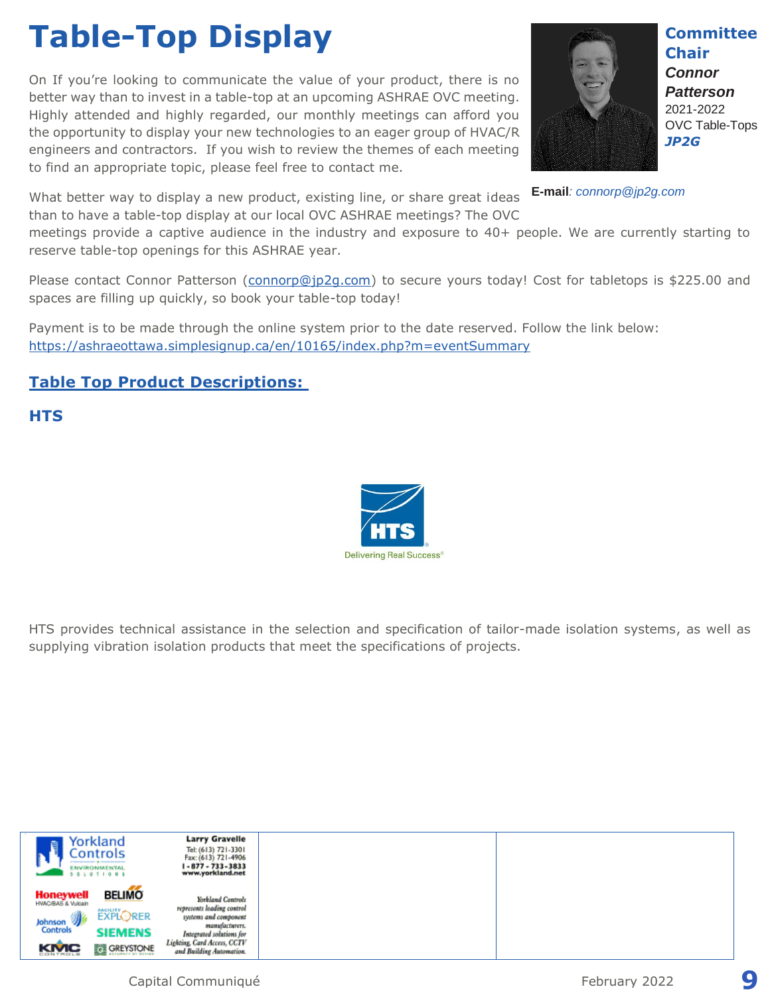# **Table-Top Display**

On If you're looking to communicate the value of your product, there is no better way than to invest in a table-top at an upcoming ASHRAE OVC meeting. Highly attended and highly regarded, our monthly meetings can afford you the opportunity to display your new technologies to an eager group of HVAC/R engineers and contractors. If you wish to review the themes of each meeting to find an appropriate topic, please feel free to contact me.

What better way to display a new product, existing line, or share great ideas than to have a table-top display at our local OVC ASHRAE meetings? The OVC

meetings provide a captive audience in the industry and exposure to 40+ people. We are currently starting to reserve table-top openings for this ASHRAE year.

Please contact Connor Patterson [\(connorp@jp2g.com\)](mailto:connorp@jp2g.com) to secure yours today! Cost for tabletops is \$225.00 and spaces are filling up quickly, so book your table-top today!

Payment is to be made through the online system prior to the date reserved. Follow the link below: <https://ashraeottawa.simplesignup.ca/en/10165/index.php?m=eventSummary>

### **Table Top Product Descriptions:**

### **HTS**

HTS provides technical assistance in the selection and specification of tailor-made isolation systems, as well as supplying vibration isolation products that meet the specifications of projects.

| 自                                      | Yorkland<br>Controls<br>means and the second states of the second states of<br><b>ENVIRONMENTAL</b><br><b>S &amp; LU T I Q N S</b> | <b>Larry Gravelle</b><br>Tel: (613) 721-3301<br>Fax: (613) 721-4906<br>1-877-733-3833<br>www.yorkland.net |
|----------------------------------------|------------------------------------------------------------------------------------------------------------------------------------|-----------------------------------------------------------------------------------------------------------|
| <b>Honeywell</b><br>HWAC/BAS & Vulcain | <b>BELIMO</b>                                                                                                                      | Yorkland Controls                                                                                         |
| Johnson                                | <b>EXPLORER</b>                                                                                                                    | represents leading control<br>systems and component                                                       |
| Controls                               | <b>SIEMENS</b>                                                                                                                     | manufacturers.<br>Integrated solutions for                                                                |
| KMC                                    | <b>THE GREYSTONE</b>                                                                                                               | Lighting, Card Access, CCTV<br>and Building Automation.                                                   |

### Capital Communiqué **Participal Communiqué Participal Communiqué 9**





**Chair** *Connor Patterson* 2021-2022 OVC Table-Tops

**E-mail***: connorp@jp2g.com*